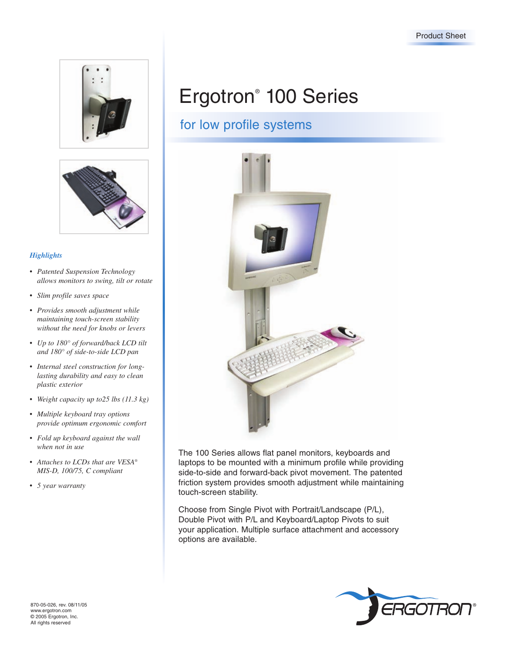



#### *Highlights*

- *Patented Suspension Technology allows monitors to swing, tilt or rotate*
- *Slim profile saves space*
- *Provides smooth adjustment while maintaining touch-screen stability without the need for knobs or levers*
- *Up to 180° of forward/back LCD tilt and 180° of side-to-side LCD pan*
- *Internal steel construction for longlasting durability and easy to clean plastic exterior*
- *Weight capacity up to25 lbs (11.3 kg)*
- *Multiple keyboard tray options provide optimum ergonomic comfort*
- *Fold up keyboard against the wall when not in use*
- *Attaches to LCDs that are VESA® MIS-D, 100/75, C compliant*
- *5 year warranty*

## Ergotron® 100 Series

### for low profile systems



The 100 Series allows flat panel monitors, keyboards and laptops to be mounted with a minimum profile while providing side-to-side and forward-back pivot movement. The patented friction system provides smooth adjustment while maintaining touch-screen stability.

Choose from Single Pivot with Portrait/Landscape (P/L), Double Pivot with P/L and Keyboard/Laptop Pivots to suit your application. Multiple surface attachment and accessory options are available.